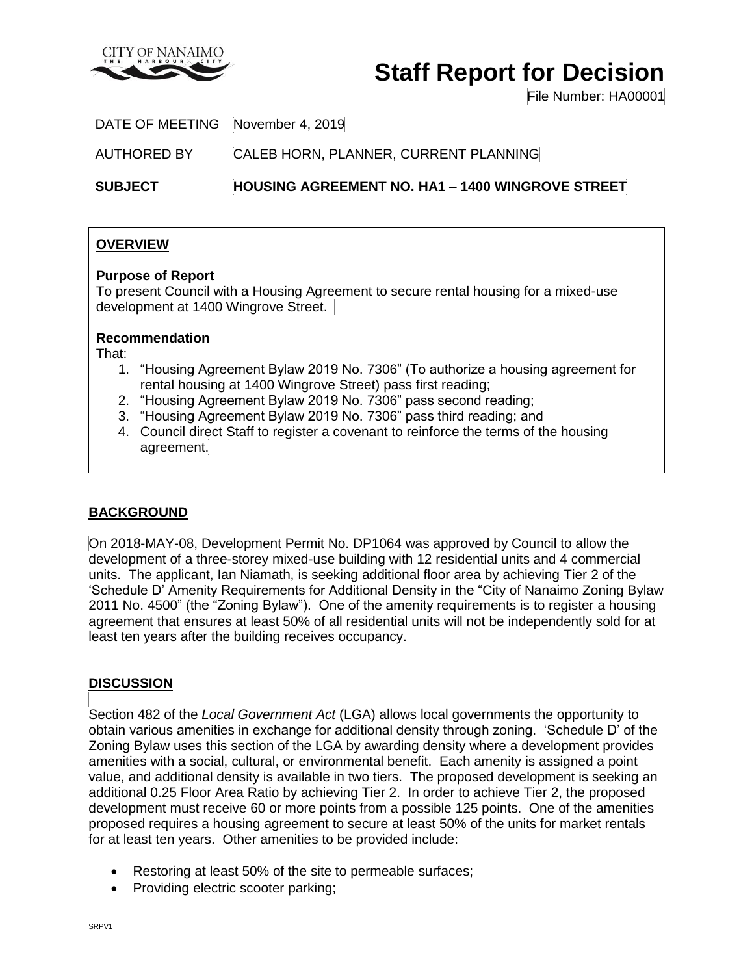

# **Staff Report for Decision**

File Number: HA00001

DATE OF MEETING November 4, 2019

AUTHORED BY CALEB HORN, PLANNER, CURRENT PLANNING

**SUBJECT HOUSING AGREEMENT NO. HA1 – 1400 WINGROVE STREET**

## **OVERVIEW**

#### **Purpose of Report**

To present Council with a Housing Agreement to secure rental housing for a mixed-use development at 1400 Wingrove Street.

#### **Recommendation**

That:

- 1. "Housing Agreement Bylaw 2019 No. 7306" (To authorize a housing agreement for rental housing at 1400 Wingrove Street) pass first reading;
- 2. "Housing Agreement Bylaw 2019 No. 7306" pass second reading;
- 3. "Housing Agreement Bylaw 2019 No. 7306" pass third reading; and
- 4. Council direct Staff to register a covenant to reinforce the terms of the housing agreement.

## **BACKGROUND**

On 2018-MAY-08, Development Permit No. DP1064 was approved by Council to allow the development of a three-storey mixed-use building with 12 residential units and 4 commercial units. The applicant, Ian Niamath, is seeking additional floor area by achieving Tier 2 of the 'Schedule D' Amenity Requirements for Additional Density in the "City of Nanaimo Zoning Bylaw 2011 No. 4500" (the "Zoning Bylaw"). One of the amenity requirements is to register a housing agreement that ensures at least 50% of all residential units will not be independently sold for at least ten years after the building receives occupancy.

## **DISCUSSION**

Section 482 of the *Local Government Act* (LGA) allows local governments the opportunity to obtain various amenities in exchange for additional density through zoning. 'Schedule D' of the Zoning Bylaw uses this section of the LGA by awarding density where a development provides amenities with a social, cultural, or environmental benefit. Each amenity is assigned a point value, and additional density is available in two tiers. The proposed development is seeking an additional 0.25 Floor Area Ratio by achieving Tier 2. In order to achieve Tier 2, the proposed development must receive 60 or more points from a possible 125 points. One of the amenities proposed requires a housing agreement to secure at least 50% of the units for market rentals for at least ten years. Other amenities to be provided include:

- Restoring at least 50% of the site to permeable surfaces;
- Providing electric scooter parking;